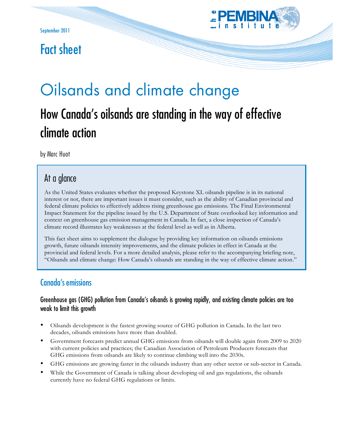

# Fact sheet

# Oilsands and climate change

# How Canada's oilsands are standing in the way of effective climate action

by Marc Huot

## At a glance

As the United States evaluates whether the proposed Keystone XL oilsands pipeline is in its national interest or not, there are important issues it must consider, such as the ability of Canadian provincial and federal climate policies to effectively address rising greenhouse gas emissions. The Final Environmental Impact Statement for the pipeline issued by the U.S. Department of State overlooked key information and context on greenhouse gas emission management in Canada. In fact, a close inspection of Canada's climate record illustrates key weaknesses at the federal level as well as in Alberta.

This fact sheet aims to supplement the dialogue by providing key information on oilsands emissions growth, future oilsands intensity improvements, and the climate policies in effect in Canada at the provincial and federal levels. For a more detailed analysis, please refer to the accompanying briefing note, "Oilsands and climate change: How Canada's oilsands are standing in the way of effective climate action."

### Canada's emissions

#### Greenhouse gas (GHG) pollution from Canada's oilsands is growing rapidly, and existing climate policies are too weak to limit this growth

- Oilsands development is the fastest growing source of GHG pollution in Canada. In the last two decades, oilsands emissions have more than doubled.
- Government forecasts predict annual GHG emissions from oilsands will double again from 2009 to 2020 with current policies and practices; the Canadian Association of Petroleum Producers forecasts that GHG emissions from oilsands are likely to continue climbing well into the 2030s.
- GHG emissions are growing faster in the oilsands industry than any other sector or sub-sector in Canada.
- While the Government of Canada is talking about developing oil and gas regulations, the oilsands currently have no federal GHG regulations or limits.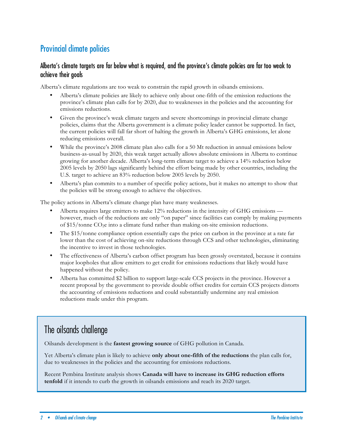## Provincial climate policies

#### Alberta's climate targets are far below what is required, and the province's climate policies are far too weak to achieve their goals

Alberta's climate regulations are too weak to constrain the rapid growth in oilsands emissions.

- Alberta's climate policies are likely to achieve only about one-fifth of the emission reductions the province's climate plan calls for by 2020, due to weaknesses in the policies and the accounting for emissions reductions.
- Given the province's weak climate targets and severe shortcomings in provincial climate change policies, claims that the Alberta government is a climate policy leader cannot be supported. In fact, the current policies will fall far short of halting the growth in Alberta's GHG emissions, let alone reducing emissions overall.
- While the province's 2008 climate plan also calls for a 50 Mt reduction in annual emissions below business-as-usual by 2020, this weak target actually allows absolute emissions in Alberta to continue growing for another decade. Alberta's long-term climate target to achieve a 14% reduction below 2005 levels by 2050 lags significantly behind the effort being made by other countries, including the U.S. target to achieve an 83% reduction below 2005 levels by 2050.
- Alberta's plan commits to a number of specific policy actions, but it makes no attempt to show that the policies will be strong enough to achieve the objectives.

The policy actions in Alberta's climate change plan have many weaknesses.

- Alberta requires large emitters to make 12% reductions in the intensity of GHG emissions however, much of the reductions are only "on paper" since facilities can comply by making payments of \$15/tonne CO2e into a climate fund rather than making on-site emission reductions.
- The \$15/tonne compliance option essentially caps the price on carbon in the province at a rate far lower than the cost of achieving on-site reductions through CCS and other technologies, eliminating the incentive to invest in those technologies.
- The effectiveness of Alberta's carbon offset program has been grossly overstated, because it contains major loopholes that allow emitters to get credit for emissions reductions that likely would have happened without the policy.
- Alberta has committed \$2 billion to support large-scale CCS projects in the province. However a recent proposal by the government to provide double offset credits for certain CCS projects distorts the accounting of emissions reductions and could substantially undermine any real emission reductions made under this program.

# The oilsands challenge

Oilsands development is the **fastest growing source** of GHG pollution in Canada.

Yet Alberta's climate plan is likely to achieve **only about one-fifth of the reductions** the plan calls for, due to weaknesses in the policies and the accounting for emissions reductions.

Recent Pembina Institute analysis shows **Canada will have to increase its GHG reduction efforts tenfold** if it intends to curb the growth in oilsands emissions and reach its 2020 target.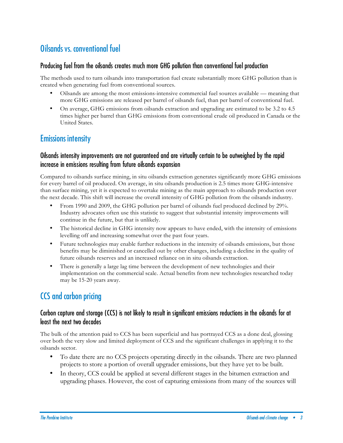# Oilsands vs. conventional fuel

#### Producing fuel from the oilsands creates much more GHG pollution than conventional fuel production

The methods used to turn oilsands into transportation fuel create substantially more GHG pollution than is created when generating fuel from conventional sources.

- Oilsands are among the most emissions-intensive commercial fuel sources available meaning that more GHG emissions are released per barrel of oilsands fuel, than per barrel of conventional fuel.
- On average, GHG emissions from oilsands extraction and upgrading are estimated to be 3.2 to 4.5 times higher per barrel than GHG emissions from conventional crude oil produced in Canada or the United States.

#### Emissions intensity

#### Oilsands intensity improvements are not guaranteed and are virtually certain to be outweighed by the rapid increase in emissions resulting from future oilsands expansion

Compared to oilsands surface mining, in situ oilsands extraction generates significantly more GHG emissions for every barrel of oil produced. On average, in situ oilsands production is 2.5 times more GHG-intensive than surface mining, yet it is expected to overtake mining as the main approach to oilsands production over the next decade. This shift will increase the overall intensity of GHG pollution from the oilsands industry.

- From 1990 and 2009, the GHG pollution per barrel of oilsands fuel produced declined by 29%. Industry advocates often use this statistic to suggest that substantial intensity improvements will continue in the future, but that is unlikely.
- The historical decline in GHG intensity now appears to have ended, with the intensity of emissions levelling off and increasing somewhat over the past four years.
- Future technologies may enable further reductions in the intensity of oilsands emissions, but those benefits may be diminished or cancelled out by other changes, including a decline in the quality of future oilsands reserves and an increased reliance on in situ oilsands extraction.
- There is generally a large lag time between the development of new technologies and their implementation on the commercial scale. Actual benefits from new technologies researched today may be 15-20 years away.

# CCS and carbon pricing

#### Carbon capture and storage (CCS) is not likely to result in significant emissions reductions in the oilsands for at least the next two decades

The bulk of the attention paid to CCS has been superficial and has portrayed CCS as a done deal, glossing over both the very slow and limited deployment of CCS and the significant challenges in applying it to the oilsands sector.

- To date there are no CCS projects operating directly in the oilsands. There are two planned projects to store a portion of overall upgrader emissions, but they have yet to be built.
- In theory, CCS could be applied at several different stages in the bitumen extraction and upgrading phases. However, the cost of capturing emissions from many of the sources will